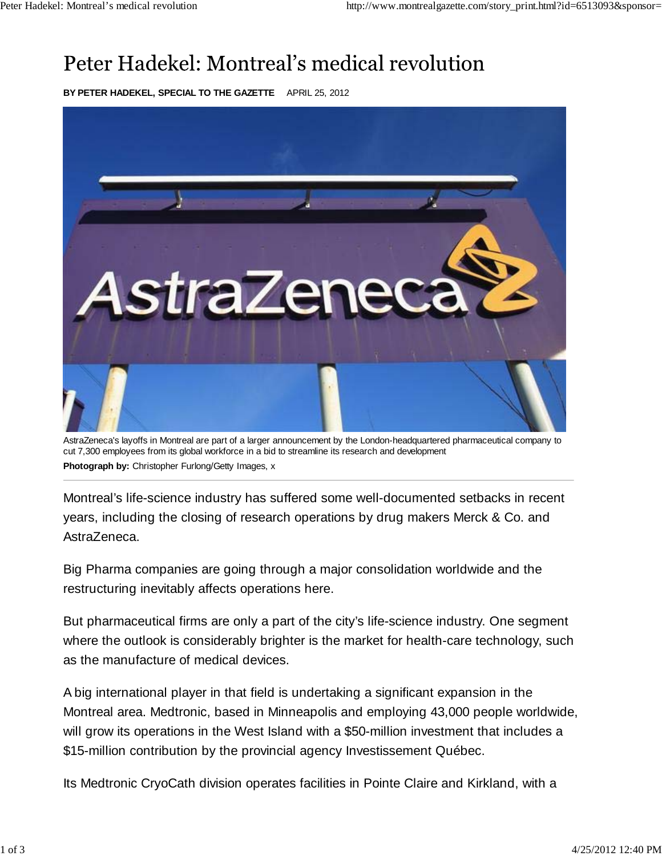## Peter Hadekel: Montreal's medical revolution

**BY PETER HADEKEL, SPECIAL TO THE GAZETTE** APRIL 25, 2012



AstraZeneca's layoffs in Montreal are part of a larger announcement by the London-headquartered pharmaceutical company to cut 7,300 employees from its global workforce in a bid to streamline its research and development **Photograph by:** Christopher Furlong/Getty Images, x

Montreal's life-science industry has suffered some well-documented setbacks in recent years, including the closing of research operations by drug makers Merck & Co. and AstraZeneca.

Big Pharma companies are going through a major consolidation worldwide and the restructuring inevitably affects operations here.

But pharmaceutical firms are only a part of the city's life-science industry. One segment where the outlook is considerably brighter is the market for health-care technology, such as the manufacture of medical devices.

A big international player in that field is undertaking a significant expansion in the Montreal area. Medtronic, based in Minneapolis and employing 43,000 people worldwide, will grow its operations in the West Island with a \$50-million investment that includes a \$15-million contribution by the provincial agency Investissement Québec.

Its Medtronic CryoCath division operates facilities in Pointe Claire and Kirkland, with a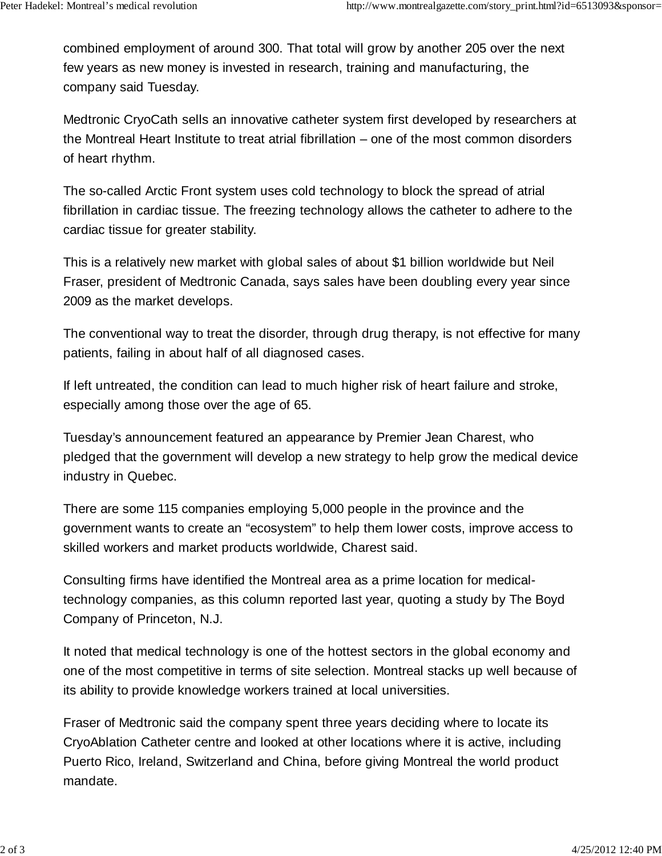combined employment of around 300. That total will grow by another 205 over the next few years as new money is invested in research, training and manufacturing, the company said Tuesday.

Medtronic CryoCath sells an innovative catheter system first developed by researchers at the Montreal Heart Institute to treat atrial fibrillation – one of the most common disorders of heart rhythm.

The so-called Arctic Front system uses cold technology to block the spread of atrial fibrillation in cardiac tissue. The freezing technology allows the catheter to adhere to the cardiac tissue for greater stability.

This is a relatively new market with global sales of about \$1 billion worldwide but Neil Fraser, president of Medtronic Canada, says sales have been doubling every year since 2009 as the market develops.

The conventional way to treat the disorder, through drug therapy, is not effective for many patients, failing in about half of all diagnosed cases.

If left untreated, the condition can lead to much higher risk of heart failure and stroke, especially among those over the age of 65.

Tuesday's announcement featured an appearance by Premier Jean Charest, who pledged that the government will develop a new strategy to help grow the medical device industry in Quebec.

There are some 115 companies employing 5,000 people in the province and the government wants to create an "ecosystem" to help them lower costs, improve access to skilled workers and market products worldwide, Charest said.

Consulting firms have identified the Montreal area as a prime location for medicaltechnology companies, as this column reported last year, quoting a study by The Boyd Company of Princeton, N.J.

It noted that medical technology is one of the hottest sectors in the global economy and one of the most competitive in terms of site selection. Montreal stacks up well because of its ability to provide knowledge workers trained at local universities.

Fraser of Medtronic said the company spent three years deciding where to locate its CryoAblation Catheter centre and looked at other locations where it is active, including Puerto Rico, Ireland, Switzerland and China, before giving Montreal the world product mandate.